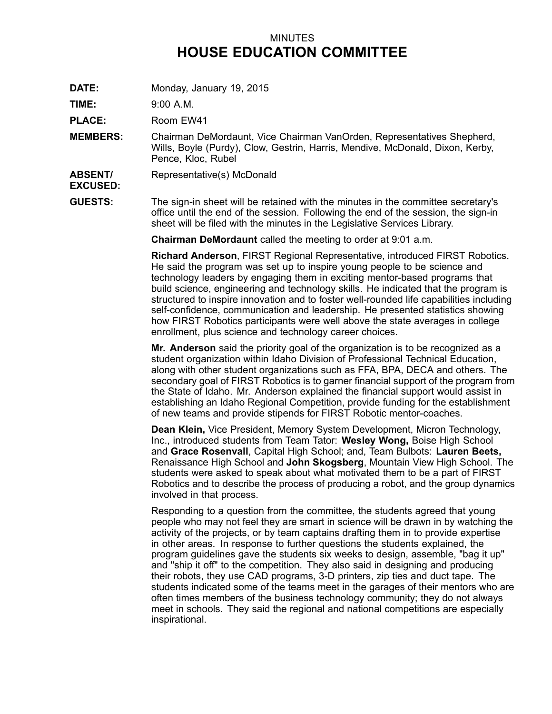## MINUTES **HOUSE EDUCATION COMMITTEE**

**DATE:** Monday, January 19, 2015

**TIME:** 9:00 A.M.

PLACE: Room EW41

- **MEMBERS:** Chairman DeMordaunt, Vice Chairman VanOrden, Representatives Shepherd, Wills, Boyle (Purdy), Clow, Gestrin, Harris, Mendive, McDonald, Dixon, Kerby, Pence, Kloc, Rubel
- **ABSENT/** Representative(s) McDonald

**EXCUSED:**

**GUESTS:** The sign-in sheet will be retained with the minutes in the committee secretary's office until the end of the session. Following the end of the session, the sign-in sheet will be filed with the minutes in the Legislative Services Library.

**Chairman DeMordaunt** called the meeting to order at 9:01 a.m.

**Richard Anderson**, FIRST Regional Representative, introduced FIRST Robotics. He said the program was set up to inspire young people to be science and technology leaders by engaging them in exciting mentor-based programs that build science, engineering and technology skills. He indicated that the program is structured to inspire innovation and to foster well-rounded life capabilities including self-confidence, communication and leadership. He presented statistics showing how FIRST Robotics participants were well above the state averages in college enrollment, plus science and technology career choices.

**Mr. Anderson** said the priority goal of the organization is to be recognized as <sup>a</sup> student organization within Idaho Division of Professional Technical Education, along with other student organizations such as FFA, BPA, DECA and others. The secondary goal of FIRST Robotics is to garner financial support of the program from the State of Idaho. Mr. Anderson explained the financial support would assist in establishing an Idaho Regional Competition, provide funding for the establishment of new teams and provide stipends for FIRST Robotic mentor-coaches.

**Dean Klein,** Vice President, Memory System Development, Micron Technology, Inc., introduced students from Team Tator: **Wesley Wong,** Boise High School and **Grace Rosenvall**, Capital High School; and, Team Bulbots: **Lauren Beets,** Renaissance High School and **John Skogsberg**, Mountain View High School. The students were asked to speak about what motivated them to be <sup>a</sup> part of FIRST Robotics and to describe the process of producing <sup>a</sup> robot, and the group dynamics involved in that process.

Responding to <sup>a</sup> question from the committee, the students agreed that young people who may not feel they are smart in science will be drawn in by watching the activity of the projects, or by team captains drafting them in to provide expertise in other areas. In response to further questions the students explained, the program guidelines gave the students six weeks to design, assemble, "bag it up" and "ship it off" to the competition. They also said in designing and producing their robots, they use CAD programs, 3-D printers, zip ties and duct tape. The students indicated some of the teams meet in the garages of their mentors who are often times members of the business technology community; they do not always meet in schools. They said the regional and national competitions are especially inspirational.